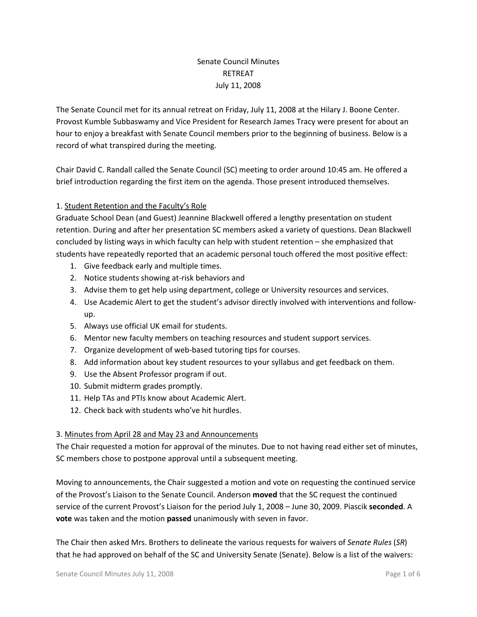# Senate Council Minutes RETREAT July 11, 2008

The Senate Council met for its annual retreat on Friday, July 11, 2008 at the Hilary J. Boone Center. Provost Kumble Subbaswamy and Vice President for Research James Tracy were present for about an hour to enjoy a breakfast with Senate Council members prior to the beginning of business. Below is a record of what transpired during the meeting.

Chair David C. Randall called the Senate Council (SC) meeting to order around 10:45 am. He offered a brief introduction regarding the first item on the agenda. Those present introduced themselves.

## 1. Student Retention and the Faculty's Role

Graduate School Dean (and Guest) Jeannine Blackwell offered a lengthy presentation on student retention. During and after her presentation SC members asked a variety of questions. Dean Blackwell concluded by listing ways in which faculty can help with student retention – she emphasized that students have repeatedly reported that an academic personal touch offered the most positive effect:

- 1. Give feedback early and multiple times.
- 2. Notice students showing at-risk behaviors and
- 3. Advise them to get help using department, college or University resources and services.
- 4. Use Academic Alert to get the student's advisor directly involved with interventions and followup.
- 5. Always use official UK email for students.
- 6. Mentor new faculty members on teaching resources and student support services.
- 7. Organize development of web-based tutoring tips for courses.
- 8. Add information about key student resources to your syllabus and get feedback on them.
- 9. Use the Absent Professor program if out.
- 10. Submit midterm grades promptly.
- 11. Help TAs and PTIs know about Academic Alert.
- 12. Check back with students who've hit hurdles.

### 3. Minutes from April 28 and May 23 and Announcements

The Chair requested a motion for approval of the minutes. Due to not having read either set of minutes, SC members chose to postpone approval until a subsequent meeting.

Moving to announcements, the Chair suggested a motion and vote on requesting the continued service of the Provost's Liaison to the Senate Council. Anderson **moved** that the SC request the continued service of the current Provost's Liaison for the period July 1, 2008 – June 30, 2009. Piascik **seconded**. A **vote** was taken and the motion **passed** unanimously with seven in favor.

The Chair then asked Mrs. Brothers to delineate the various requests for waivers of *Senate Rules* (*SR*) that he had approved on behalf of the SC and University Senate (Senate). Below is a list of the waivers: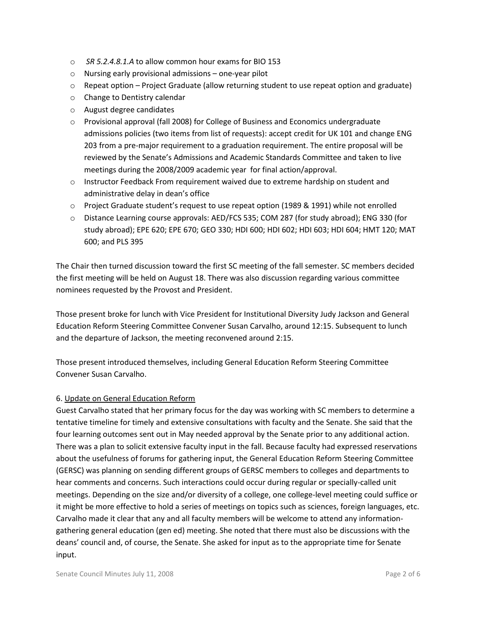- o *SR 5.2.4.8.1.A* to allow common hour exams for BIO 153
- o Nursing early provisional admissions one-year pilot
- $\circ$  Repeat option Project Graduate (allow returning student to use repeat option and graduate)
- o Change to Dentistry calendar
- o August degree candidates
- $\circ$  Provisional approval (fall 2008) for College of Business and Economics undergraduate admissions policies (two items from list of requests): accept credit for UK 101 and change ENG 203 from a pre-major requirement to a graduation requirement. The entire proposal will be reviewed by the Senate's Admissions and Academic Standards Committee and taken to live meetings during the 2008/2009 academic year for final action/approval.
- $\circ$  Instructor Feedback From requirement waived due to extreme hardship on student and administrative delay in dean's office
- o Project Graduate student's request to use repeat option (1989 & 1991) while not enrolled
- o Distance Learning course approvals: AED/FCS 535; COM 287 (for study abroad); ENG 330 (for study abroad); EPE 620; EPE 670; GEO 330; HDI 600; HDI 602; HDI 603; HDI 604; HMT 120; MAT 600; and PLS 395

The Chair then turned discussion toward the first SC meeting of the fall semester. SC members decided the first meeting will be held on August 18. There was also discussion regarding various committee nominees requested by the Provost and President.

Those present broke for lunch with Vice President for Institutional Diversity Judy Jackson and General Education Reform Steering Committee Convener Susan Carvalho, around 12:15. Subsequent to lunch and the departure of Jackson, the meeting reconvened around 2:15.

Those present introduced themselves, including General Education Reform Steering Committee Convener Susan Carvalho.

### 6. Update on General Education Reform

Guest Carvalho stated that her primary focus for the day was working with SC members to determine a tentative timeline for timely and extensive consultations with faculty and the Senate. She said that the four learning outcomes sent out in May needed approval by the Senate prior to any additional action. There was a plan to solicit extensive faculty input in the fall. Because faculty had expressed reservations about the usefulness of forums for gathering input, the General Education Reform Steering Committee (GERSC) was planning on sending different groups of GERSC members to colleges and departments to hear comments and concerns. Such interactions could occur during regular or specially-called unit meetings. Depending on the size and/or diversity of a college, one college-level meeting could suffice or it might be more effective to hold a series of meetings on topics such as sciences, foreign languages, etc. Carvalho made it clear that any and all faculty members will be welcome to attend any informationgathering general education (gen ed) meeting. She noted that there must also be discussions with the deans' council and, of course, the Senate. She asked for input as to the appropriate time for Senate input.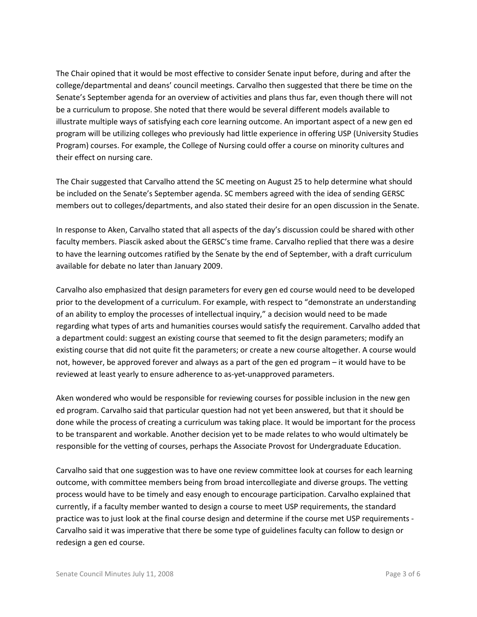The Chair opined that it would be most effective to consider Senate input before, during and after the college/departmental and deans' council meetings. Carvalho then suggested that there be time on the Senate's September agenda for an overview of activities and plans thus far, even though there will not be a curriculum to propose. She noted that there would be several different models available to illustrate multiple ways of satisfying each core learning outcome. An important aspect of a new gen ed program will be utilizing colleges who previously had little experience in offering USP (University Studies Program) courses. For example, the College of Nursing could offer a course on minority cultures and their effect on nursing care.

The Chair suggested that Carvalho attend the SC meeting on August 25 to help determine what should be included on the Senate's September agenda. SC members agreed with the idea of sending GERSC members out to colleges/departments, and also stated their desire for an open discussion in the Senate.

In response to Aken, Carvalho stated that all aspects of the day's discussion could be shared with other faculty members. Piascik asked about the GERSC's time frame. Carvalho replied that there was a desire to have the learning outcomes ratified by the Senate by the end of September, with a draft curriculum available for debate no later than January 2009.

Carvalho also emphasized that design parameters for every gen ed course would need to be developed prior to the development of a curriculum. For example, with respect to "demonstrate an understanding of an ability to employ the processes of intellectual inquiry," a decision would need to be made regarding what types of arts and humanities courses would satisfy the requirement. Carvalho added that a department could: suggest an existing course that seemed to fit the design parameters; modify an existing course that did not quite fit the parameters; or create a new course altogether. A course would not, however, be approved forever and always as a part of the gen ed program – it would have to be reviewed at least yearly to ensure adherence to as-yet-unapproved parameters.

Aken wondered who would be responsible for reviewing courses for possible inclusion in the new gen ed program. Carvalho said that particular question had not yet been answered, but that it should be done while the process of creating a curriculum was taking place. It would be important for the process to be transparent and workable. Another decision yet to be made relates to who would ultimately be responsible for the vetting of courses, perhaps the Associate Provost for Undergraduate Education.

Carvalho said that one suggestion was to have one review committee look at courses for each learning outcome, with committee members being from broad intercollegiate and diverse groups. The vetting process would have to be timely and easy enough to encourage participation. Carvalho explained that currently, if a faculty member wanted to design a course to meet USP requirements, the standard practice was to just look at the final course design and determine if the course met USP requirements - Carvalho said it was imperative that there be some type of guidelines faculty can follow to design or redesign a gen ed course.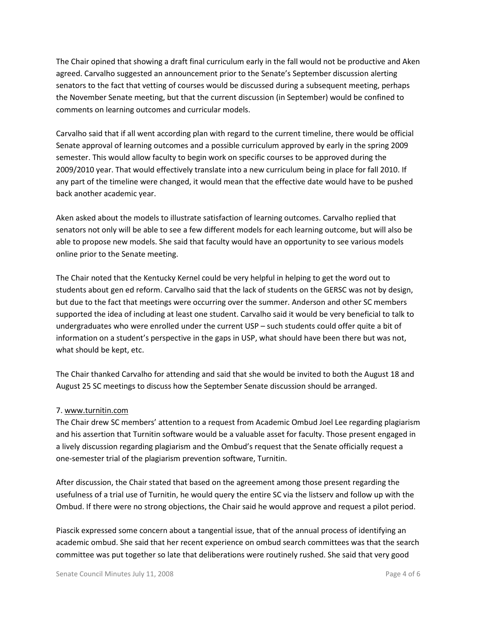The Chair opined that showing a draft final curriculum early in the fall would not be productive and Aken agreed. Carvalho suggested an announcement prior to the Senate's September discussion alerting senators to the fact that vetting of courses would be discussed during a subsequent meeting, perhaps the November Senate meeting, but that the current discussion (in September) would be confined to comments on learning outcomes and curricular models.

Carvalho said that if all went according plan with regard to the current timeline, there would be official Senate approval of learning outcomes and a possible curriculum approved by early in the spring 2009 semester. This would allow faculty to begin work on specific courses to be approved during the 2009/2010 year. That would effectively translate into a new curriculum being in place for fall 2010. If any part of the timeline were changed, it would mean that the effective date would have to be pushed back another academic year.

Aken asked about the models to illustrate satisfaction of learning outcomes. Carvalho replied that senators not only will be able to see a few different models for each learning outcome, but will also be able to propose new models. She said that faculty would have an opportunity to see various models online prior to the Senate meeting.

The Chair noted that the Kentucky Kernel could be very helpful in helping to get the word out to students about gen ed reform. Carvalho said that the lack of students on the GERSC was not by design, but due to the fact that meetings were occurring over the summer. Anderson and other SC members supported the idea of including at least one student. Carvalho said it would be very beneficial to talk to undergraduates who were enrolled under the current USP – such students could offer quite a bit of information on a student's perspective in the gaps in USP, what should have been there but was not, what should be kept, etc.

The Chair thanked Carvalho for attending and said that she would be invited to both the August 18 and August 25 SC meetings to discuss how the September Senate discussion should be arranged.

### 7. www.turnitin.com

The Chair drew SC members' attention to a request from Academic Ombud Joel Lee regarding plagiarism and his assertion that Turnitin software would be a valuable asset for faculty. Those present engaged in a lively discussion regarding plagiarism and the Ombud's request that the Senate officially request a one-semester trial of the plagiarism prevention software, Turnitin.

After discussion, the Chair stated that based on the agreement among those present regarding the usefulness of a trial use of Turnitin, he would query the entire SC via the listserv and follow up with the Ombud. If there were no strong objections, the Chair said he would approve and request a pilot period.

Piascik expressed some concern about a tangential issue, that of the annual process of identifying an academic ombud. She said that her recent experience on ombud search committees was that the search committee was put together so late that deliberations were routinely rushed. She said that very good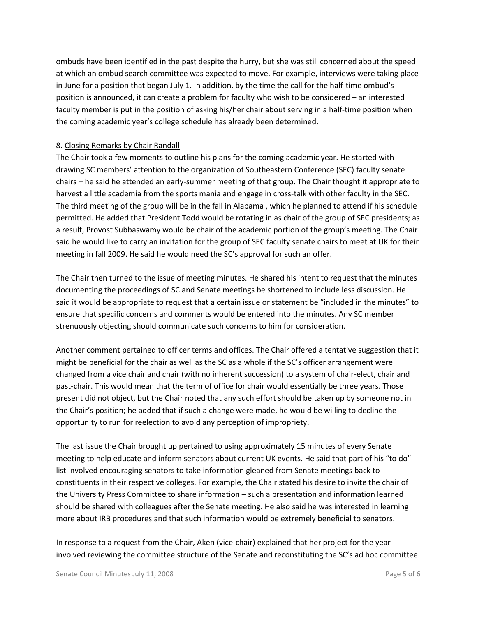ombuds have been identified in the past despite the hurry, but she was still concerned about the speed at which an ombud search committee was expected to move. For example, interviews were taking place in June for a position that began July 1. In addition, by the time the call for the half-time ombud's position is announced, it can create a problem for faculty who wish to be considered – an interested faculty member is put in the position of asking his/her chair about serving in a half-time position when the coming academic year's college schedule has already been determined.

#### 8. Closing Remarks by Chair Randall

The Chair took a few moments to outline his plans for the coming academic year. He started with drawing SC members' attention to the organization of Southeastern Conference (SEC) faculty senate chairs – he said he attended an early-summer meeting of that group. The Chair thought it appropriate to harvest a little academia from the sports mania and engage in cross-talk with other faculty in the SEC. The third meeting of the group will be in the fall in Alabama , which he planned to attend if his schedule permitted. He added that President Todd would be rotating in as chair of the group of SEC presidents; as a result, Provost Subbaswamy would be chair of the academic portion of the group's meeting. The Chair said he would like to carry an invitation for the group of SEC faculty senate chairs to meet at UK for their meeting in fall 2009. He said he would need the SC's approval for such an offer.

The Chair then turned to the issue of meeting minutes. He shared his intent to request that the minutes documenting the proceedings of SC and Senate meetings be shortened to include less discussion. He said it would be appropriate to request that a certain issue or statement be "included in the minutes" to ensure that specific concerns and comments would be entered into the minutes. Any SC member strenuously objecting should communicate such concerns to him for consideration.

Another comment pertained to officer terms and offices. The Chair offered a tentative suggestion that it might be beneficial for the chair as well as the SC as a whole if the SC's officer arrangement were changed from a vice chair and chair (with no inherent succession) to a system of chair-elect, chair and past-chair. This would mean that the term of office for chair would essentially be three years. Those present did not object, but the Chair noted that any such effort should be taken up by someone not in the Chair's position; he added that if such a change were made, he would be willing to decline the opportunity to run for reelection to avoid any perception of impropriety.

The last issue the Chair brought up pertained to using approximately 15 minutes of every Senate meeting to help educate and inform senators about current UK events. He said that part of his "to do" list involved encouraging senators to take information gleaned from Senate meetings back to constituents in their respective colleges. For example, the Chair stated his desire to invite the chair of the University Press Committee to share information – such a presentation and information learned should be shared with colleagues after the Senate meeting. He also said he was interested in learning more about IRB procedures and that such information would be extremely beneficial to senators.

In response to a request from the Chair, Aken (vice-chair) explained that her project for the year involved reviewing the committee structure of the Senate and reconstituting the SC's ad hoc committee